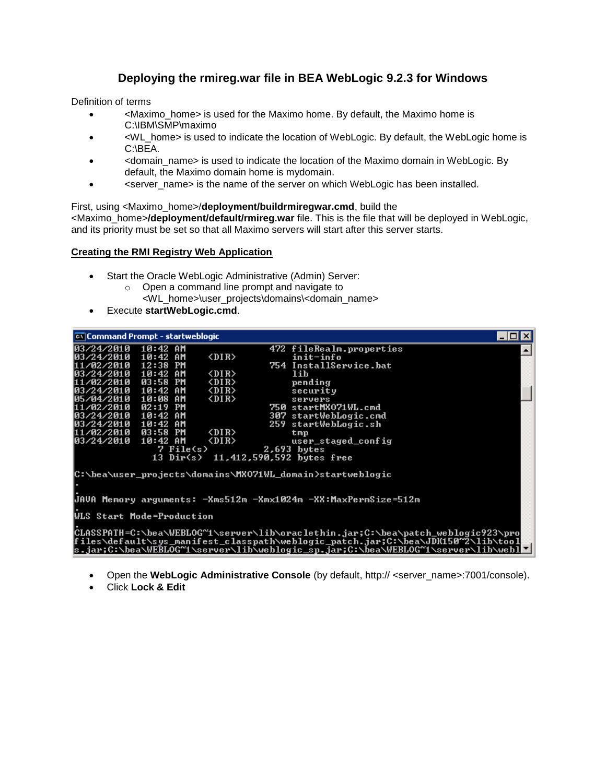# **Deploying the rmireg.war file in BEA WebLogic 9.2.3 for Windows**

Definition of terms

- <Maximo\_home> is used for the Maximo home. By default, the Maximo home is C:\IBM\SMP\maximo
- $\leq$ WL home> is used to indicate the location of WebLogic. By default, the WebLogic home is C:\BEA.
- <domain\_name> is used to indicate the location of the Maximo domain in WebLogic. By default, the Maximo domain home is mydomain.
- <server\_name> is the name of the server on which WebLogic has been installed.

First, using <Maximo\_home>/**deployment/buildrmiregwar.cmd**, build the <Maximo\_home>**/deployment/default/rmireg.war** file. This is the file that will be deployed in WebLogic, and its priority must be set so that all Maximo servers will start after this server starts.

## **Creating the RMI Registry Web Application**

- Start the Oracle WebLogic Administrative (Admin) Server:
	- o Open a command line prompt and navigate to
		- <WL\_home>\user\_projects\domains\<domain\_name>
- Execute **startWebLogic.cmd**.

| <b>ex Command Prompt - startweblogic</b> |                         |                       |                                                                                                                                                                                                                                                           | -101 |
|------------------------------------------|-------------------------|-----------------------|-----------------------------------------------------------------------------------------------------------------------------------------------------------------------------------------------------------------------------------------------------------|------|
| 103/24/2010                              | 10:42 AM                |                       | 472 fileRealm.properties                                                                                                                                                                                                                                  |      |
| 03/24/2010<br>11/02/2010                 | 10:42 AM<br>12:38<br>PM | $\langle DIR \rangle$ | init-info<br>754 InstallService.bat                                                                                                                                                                                                                       |      |
| 103/24/2010 10:42 AM                     |                         | $\langle DIR \rangle$ | lib                                                                                                                                                                                                                                                       |      |
| 11/02/2010 03:58 PM                      |                         | $\langle DIR \rangle$ | pending                                                                                                                                                                                                                                                   |      |
| 103/24/2010 10:42 AM                     |                         | $\langle DIR \rangle$ | security                                                                                                                                                                                                                                                  |      |
| 105/04/2010 10:08 AM                     |                         | $\langle DIR \rangle$ | servers                                                                                                                                                                                                                                                   |      |
| 11/02/2010 02:19                         | PM                      |                       | 750 startMX071WL.cmd                                                                                                                                                                                                                                      |      |
| 103/24/2010 10:42 AM                     |                         |                       | 307 startWebLogic.cmd                                                                                                                                                                                                                                     |      |
| 103/24/2010 10:42 AM                     |                         |                       | 259 startWebLogic.sh                                                                                                                                                                                                                                      |      |
| 11/02/2010 03:58 PM                      |                         | $\langle DIR \rangle$ | tmp                                                                                                                                                                                                                                                       |      |
| 103/24/2010 10:42 AM                     |                         | <dir></dir>           | user_staged_config                                                                                                                                                                                                                                        |      |
|                                          | 7 File(s)               |                       | $2.693$ bytes                                                                                                                                                                                                                                             |      |
|                                          |                         |                       | 13 Dir(s) 11,412,590,592 bytes free                                                                                                                                                                                                                       |      |
|                                          |                         |                       | C:\bea\user_projects\domains\MX071WL_domain>startweblogic                                                                                                                                                                                                 |      |
|                                          |                         |                       |                                                                                                                                                                                                                                                           |      |
|                                          |                         |                       | JAVA Memory arguments: -Xms512m -Xmx1024m -XX:MaxPermSize=512m                                                                                                                                                                                            |      |
| <b>WLS Start Mode=Production</b>         |                         |                       |                                                                                                                                                                                                                                                           |      |
|                                          |                         |                       | CLASSPATH=C:\bea\WEBLOG~1\server\lib\oraclethin.jar;C:\bea\patch_weblogic923\pro<br> files\default\sys_manifest_classpath\weblogic_patch.jar;C:\bea\JDK150^2\lib\tool<br>s.jar;C:\bea\WEBLOG~1\server\lib\weblogic_sp.jar;C:\bea\WEBLOG~1\server\lib\webl |      |

- Open the **WebLogic Administrative Console** (by default, http:// <server\_name>:7001/console).
- Click **Lock & Edit**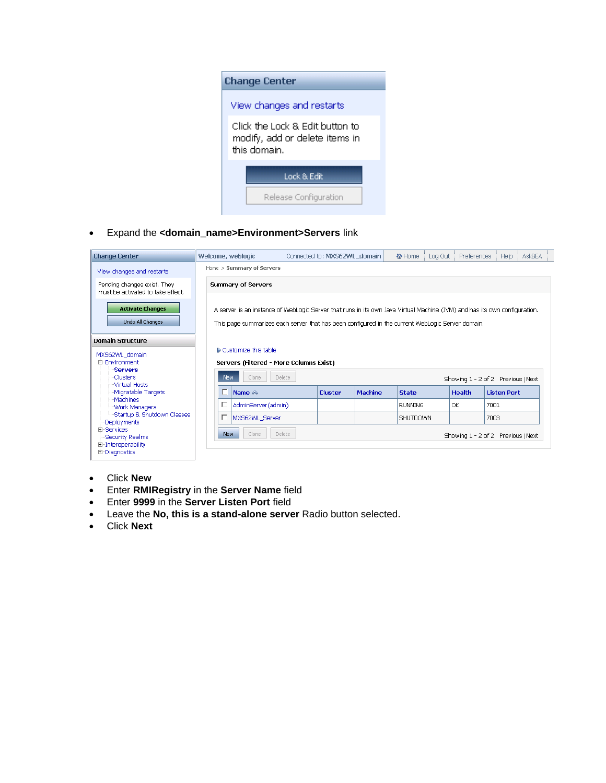

Expand the **<domain\_name>Environment>Servers** link



- Click **New**
- Enter **RMIRegistry** in the **Server Name** field
- Enter **9999** in the **Server Listen Port** field
- Leave the **No, this is a stand-alone server** Radio button selected.
- Click **Next**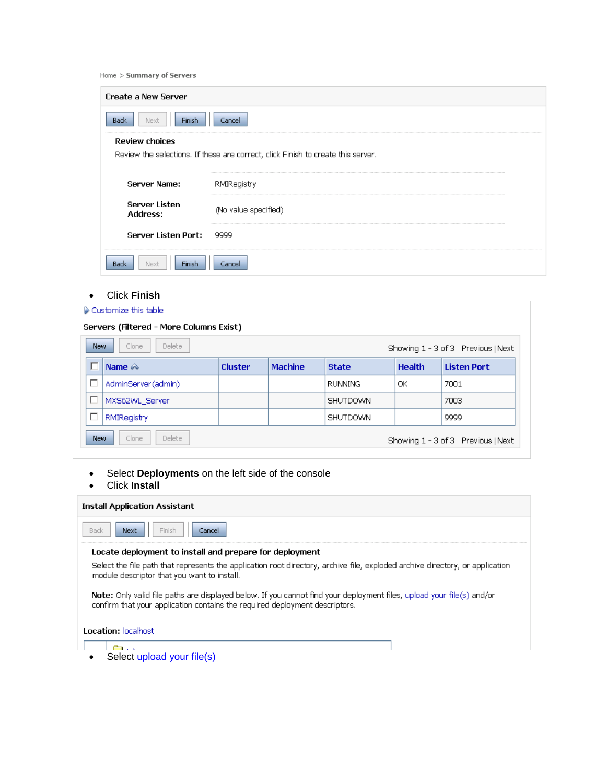|  |  | Home $>$ Summary of Servers |  |  |
|--|--|-----------------------------|--|--|
|--|--|-----------------------------|--|--|

| <b>Create a New Server</b>              |                                                                                  |
|-----------------------------------------|----------------------------------------------------------------------------------|
| Next<br><b>Finish</b><br>Back.          | Cancel                                                                           |
| <b>Review choices</b>                   |                                                                                  |
|                                         | Review the selections. If these are correct, click Finish to create this server. |
|                                         |                                                                                  |
| Server Name:                            | RMIRegistry                                                                      |
| <b>Server Listen</b><br><b>Address:</b> | (No value specified)                                                             |
| <b>Server Listen Port:</b>              | 9999                                                                             |
| Next<br><b>Finish</b><br>Back           | Cancel                                                                           |

# Click **Finish**

### $\triangleright$  Customize this table

### Servers (Filtered - More Columns Exist)

| <b>New</b> | <b>Delete</b><br>Clone |                |                |                 |               | Showing 1 - 3 of 3 Previous   Next |
|------------|------------------------|----------------|----------------|-----------------|---------------|------------------------------------|
|            | Name $\otimes$         | <b>Cluster</b> | <b>Machine</b> | <b>State</b>    | <b>Health</b> | <b>Listen Port</b>                 |
|            | AdminServer(admin)     |                |                | <b>RUNNING</b>  | ОК            | 7001                               |
|            | MXS62WL Server         |                |                | <b>SHUTDOWN</b> |               | 7003                               |
|            | <b>RMIRegistry</b>     |                |                | <b>SHUTDOWN</b> |               | 9999                               |
| <b>New</b> | Delete<br>Clone        |                |                |                 |               | Showing 1 - 3 of 3 Previous   Next |

Select **Deployments** on the left side of the console

# Click **Install**

| <b>Install Application Assistant</b>                                                                                                                                                                 |  |
|------------------------------------------------------------------------------------------------------------------------------------------------------------------------------------------------------|--|
| Finish<br>Cancel<br><b>Back</b><br>Next                                                                                                                                                              |  |
| Locate deployment to install and prepare for deployment                                                                                                                                              |  |
| Select the file path that represents the application root directory, archive file, exploded archive directory, or application<br>module descriptor that you want to install.                         |  |
| Note: Only valid file paths are displayed below. If you cannot find your deployment files, upload your file(s) and/or<br>confirm that your application contains the required deployment descriptors. |  |
| <b>Location: localhost</b>                                                                                                                                                                           |  |
| en de la<br>Select upload your file(s)                                                                                                                                                               |  |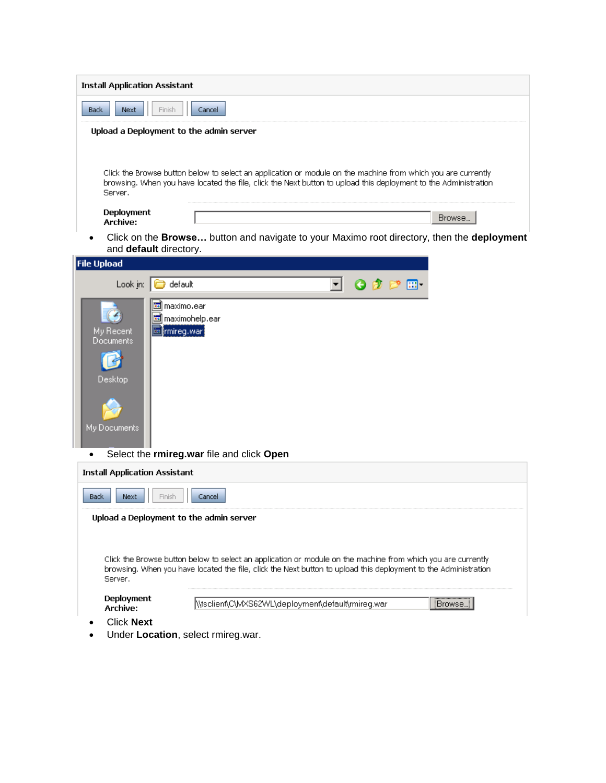| <b>Install Application Assistant</b>                                                                                                                                                                                                       |  |
|--------------------------------------------------------------------------------------------------------------------------------------------------------------------------------------------------------------------------------------------|--|
| <b>Back</b><br>Next<br>Finish<br>Cancel                                                                                                                                                                                                    |  |
| Upload a Deployment to the admin server                                                                                                                                                                                                    |  |
|                                                                                                                                                                                                                                            |  |
| Click the Browse button below to select an application or module on the machine from which you are currently<br>browsing. When you have located the file, click the Next button to upload this deployment to the Administration<br>Server. |  |
| Deployment<br>Browse<br>Archive:                                                                                                                                                                                                           |  |
| Click on the <b>Browse</b> button and navigate to your Maximo root directory, then the <b>deployment</b><br>and default directory.                                                                                                         |  |
| <b>File Upload</b>                                                                                                                                                                                                                         |  |
| Look $jn:$<br>default<br>需-                                                                                                                                                                                                                |  |
| lo maximo.ear<br>國 maximohelp.ear<br>My Recent<br><b>l⊠ </b> rmireg.war<br>Documents<br>Desktop<br>My Documents<br>Select the rmireg.war file and click Open<br>$\bullet$                                                                  |  |
| <b>Install Application Assistant</b>                                                                                                                                                                                                       |  |
| <b>Back</b><br>Next<br>Finish<br>Cancel                                                                                                                                                                                                    |  |
| Upload a Deployment to the admin server                                                                                                                                                                                                    |  |
| Click the Browse button below to select an application or module on the machine from which you are currently<br>browsing. When you have located the file, click the Next button to upload this deployment to the Administration<br>Server, |  |
| Deployment<br>\\tsclient\C\MXS62WL\deployment\default\rmireq.war<br>Browse<br>Archive:                                                                                                                                                     |  |
| <b>Click Next</b>                                                                                                                                                                                                                          |  |

Under **Location**, select rmireg.war.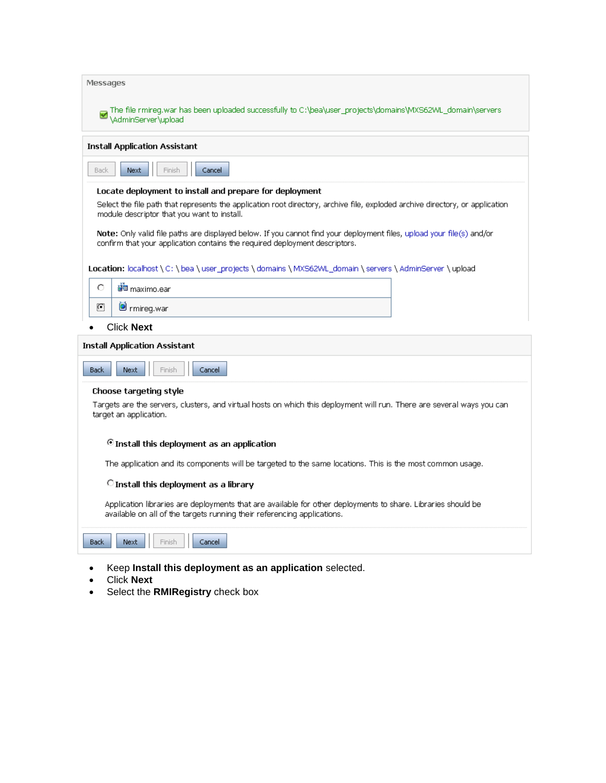| Messages                                                                                                                                                                                             |
|------------------------------------------------------------------------------------------------------------------------------------------------------------------------------------------------------|
| The file rmireg.war has been uploaded successfully to C:\bea\user_projects\domains\MXS62WL_domain\servers<br>\AdminServer\upload                                                                     |
| Install Application Assistant                                                                                                                                                                        |
| Next<br>Back<br>Finish<br>Cancel                                                                                                                                                                     |
| Locate deployment to install and prepare for deployment                                                                                                                                              |
| Select the file path that represents the application root directory, archive file, exploded archive directory, or application<br>module descriptor that you want to install.                         |
| Note: Only valid file paths are displayed below. If you cannot find your deployment files, upload your file(s) and/or<br>confirm that your application contains the required deployment descriptors. |
| Location: localhost \ C: \ bea \ user_projects \ domains \ MXS62WL_domain \ servers \ AdminServer \ upload                                                                                           |
| О<br><mark>धैं</mark> ⊞ maximo.ear                                                                                                                                                                   |
| O<br><b>O</b> rmireg.war                                                                                                                                                                             |
| <b>Click Next</b>                                                                                                                                                                                    |
| <b>Install Application Assistant</b>                                                                                                                                                                 |
| <b>Back</b><br>Next<br>Cancel<br><b>Finish</b>                                                                                                                                                       |
| Choose targeting style                                                                                                                                                                               |
| Targets are the servers, clusters, and virtual hosts on which this deployment will run. There are several ways you can<br>target an application.                                                     |
| <sup>©</sup> Install this deployment as an application                                                                                                                                               |
| The application and its components will be targeted to the same locations. This is the most common usage.                                                                                            |
| C Install this deployment as a library                                                                                                                                                               |
| Application libraries are deployments that are available for other deployments to share. Libraries should be<br>available on all of the targets running their referencing applications.              |
| Next<br>Finish<br>Cancel<br>Back                                                                                                                                                                     |
| Keep Install this deployment as an application selected.                                                                                                                                             |

- Click **Next**
- Select the **RMIRegistry** check box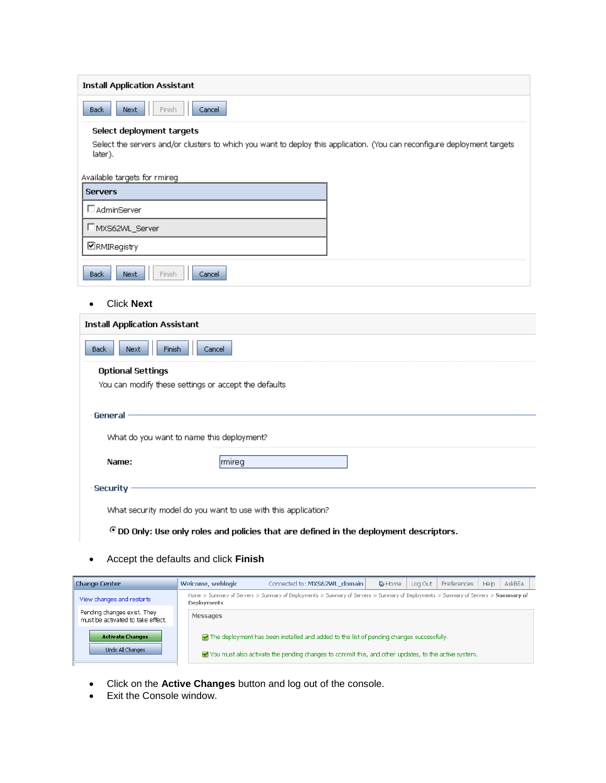| <b>Install Application Assistant</b>                                                                                     |
|--------------------------------------------------------------------------------------------------------------------------|
| Back<br>Next<br>Cancel<br>Finish                                                                                         |
| Select deployment targets                                                                                                |
| Select the servers and/or clusters to which you want to deploy this application. (You can reconfigure deployment targets |
| later).                                                                                                                  |
| Available targets for rmireg                                                                                             |
| <b>Servers</b>                                                                                                           |
| <b>I</b> AdminServer                                                                                                     |
| □ MXS62WL_Server                                                                                                         |
| <b>ERMIRegistry</b>                                                                                                      |
| <b>Back</b><br>Next<br>Finish<br>Cancel                                                                                  |
| <b>Click Next</b>                                                                                                        |
| <b>Install Application Assistant</b>                                                                                     |
| <b>Back</b><br>Next<br><b>Finish</b><br>Cancel                                                                           |
| <b>Optional Settings</b>                                                                                                 |
| You can modify these settings or accept the defaults                                                                     |
|                                                                                                                          |
| General                                                                                                                  |
| What do you want to name this deployment?                                                                                |
| Name:<br> rmireg                                                                                                         |
| Security                                                                                                                 |
|                                                                                                                          |
| What security model do you want to use with this application?                                                            |
| OD Only: Use only roles and policies that are defined in the deployment descriptors.                                     |
|                                                                                                                          |

Accept the defaults and click **Finish**

| <b>Change Center</b>                                             | Welcome, weblogic  | Connected to: MXS62WL domain                                                                                                                                                                           | 价 Home | Log Out | Preferences | Help | AskBEA |
|------------------------------------------------------------------|--------------------|--------------------------------------------------------------------------------------------------------------------------------------------------------------------------------------------------------|--------|---------|-------------|------|--------|
| View changes and restarts                                        | <b>Deployments</b> | Home > Summary of Servers > Summary of Deployments > Summary of Servers > Summary of Deployments > Summary of Servers > Summary of                                                                     |        |         |             |      |        |
| Pending changes exist. They<br>must be activated to take effect. | Messages           |                                                                                                                                                                                                        |        |         |             |      |        |
| <b>Activate Changes</b><br>Undo All Changes                      |                    | $\Box$ The deployment has been installed and added to the list of pending changes successfully.<br>You must also activate the pending changes to commit this, and other updates, to the active system. |        |         |             |      |        |

- Click on the **Active Changes** button and log out of the console.
- Exit the Console window.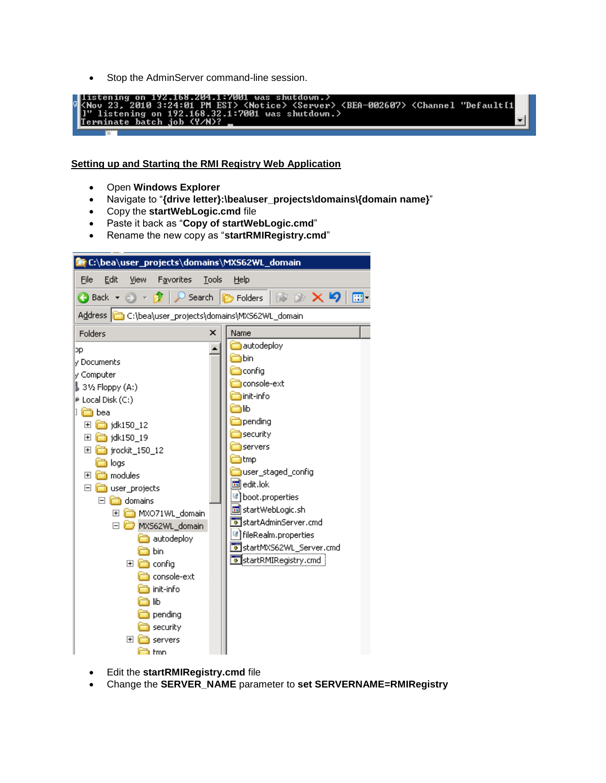• Stop the AdminServer command-line session.



### **Setting up and Starting the RMI Registry Web Application**

- Open **Windows Explorer**
- Navigate to "**{drive letter}:\bea\user\_projects\domains\{domain name}**"
- Copy the **startWebLogic.cmd** file
- Paste it back as "**Copy of startWebLogic.cmd**"
- Rename the new copy as "**startRMIRegistry.cmd**"



- Edit the **startRMIRegistry.cmd** file
- Change the **SERVER\_NAME** parameter to **set SERVERNAME=RMIRegistry**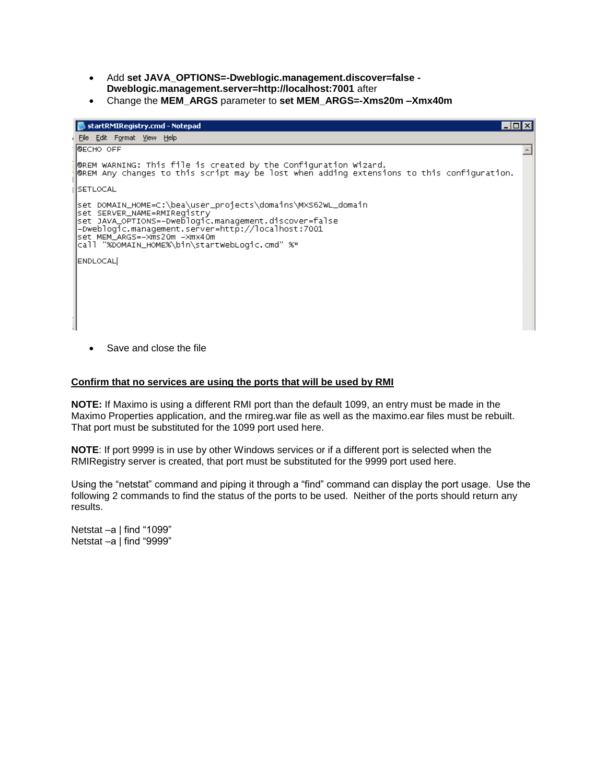- Add **set JAVA\_OPTIONS=-Dweblogic.management.discover=false - Dweblogic.management.server=http://localhost:7001** after
- Change the **MEM\_ARGS** parameter to **set MEM\_ARGS=-Xms20m –Xmx40m**

| startRMIRegistry.cmd - Notepad                                                                                                                                                                                                                                                                |  |
|-----------------------------------------------------------------------------------------------------------------------------------------------------------------------------------------------------------------------------------------------------------------------------------------------|--|
| i <u>F</u> ile <u>E</u> dit F <u>o</u> rmat <u>V</u> iew Help                                                                                                                                                                                                                                 |  |
| Ю€СНО ОFF                                                                                                                                                                                                                                                                                     |  |
| @REM WARNING: This file is created by the Configuration Wizard.<br>@REM Any changes to this script may be lost when adding extensions to this configuration.                                                                                                                                  |  |
| <b>SETLOCAL</b>                                                                                                                                                                                                                                                                               |  |
| set DOMAIN_HOME=C:\bea\user_projects\domains\MXS62WL_domain <br>set SERVER_NAME=RMIRegistry<br> set JAVA_OPTIONS=-Dweblogic.management.discover=false<br>-Dweblogic.management.server=http://localhost:7001<br> set MEM_ARGS=−Xms20m –Xmx40m<br>call "%DOMAIN_HOME%\bin\startWebLogic.cmd" %* |  |
| ENDLOCAL                                                                                                                                                                                                                                                                                      |  |

• Save and close the file

#### **Confirm that no services are using the ports that will be used by RMI**

**NOTE:** If Maximo is using a different RMI port than the default 1099, an entry must be made in the Maximo Properties application, and the rmireg.war file as well as the maximo.ear files must be rebuilt. That port must be substituted for the 1099 port used here.

**NOTE**: If port 9999 is in use by other Windows services or if a different port is selected when the RMIRegistry server is created, that port must be substituted for the 9999 port used here.

Using the "netstat" command and piping it through a "find" command can display the port usage. Use the following 2 commands to find the status of the ports to be used. Neither of the ports should return any results.

Netstat –a I find "1099" Netstat –a | find "9999"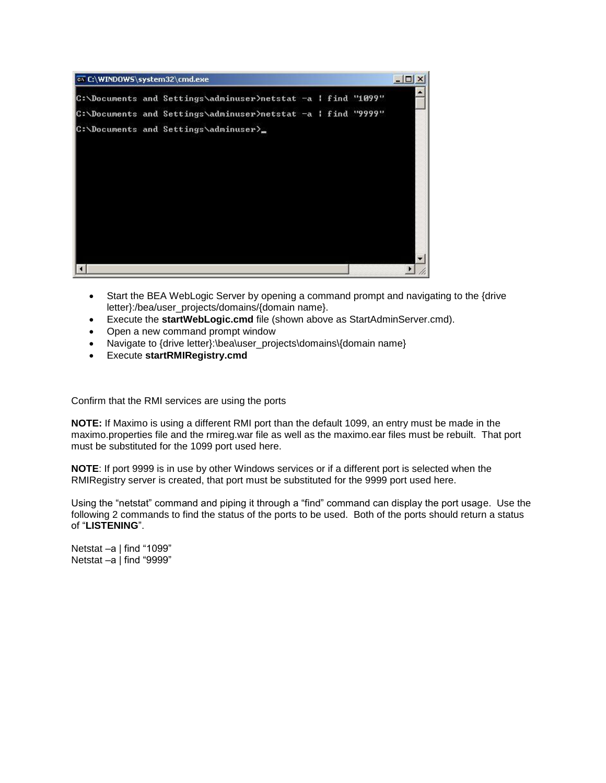

- Start the BEA WebLogic Server by opening a command prompt and navigating to the {drive letter}:/bea/user\_projects/domains/{domain name}.
- Execute the **startWebLogic.cmd** file (shown above as StartAdminServer.cmd).
- Open a new command prompt window
- Navigate to {drive letter}:\bea\user\_projects\domains\{domain name}
- Execute **startRMIRegistry.cmd**

Confirm that the RMI services are using the ports

**NOTE:** If Maximo is using a different RMI port than the default 1099, an entry must be made in the maximo.properties file and the rmireg.war file as well as the maximo.ear files must be rebuilt. That port must be substituted for the 1099 port used here.

**NOTE**: If port 9999 is in use by other Windows services or if a different port is selected when the RMIRegistry server is created, that port must be substituted for the 9999 port used here.

Using the "netstat" command and piping it through a "find" command can display the port usage. Use the following 2 commands to find the status of the ports to be used. Both of the ports should return a status of "**LISTENING**".

Netstat –a | find "1099" Netstat –a | find "9999"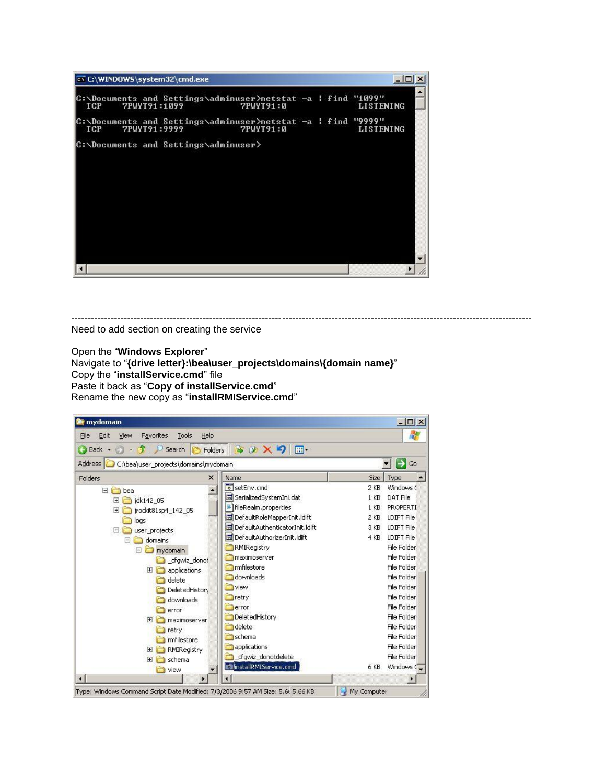

-------------------------------------------------------------------------------------------------------------------------------------------- Need to add section on creating the service

Open the "**Windows Explorer**"

Navigate to "**{drive letter}:\bea\user\_projects\domains\{domain name}**" Copy the "**installService.cmd**" file Paste it back as "**Copy of installService.cmd**" Rename the new copy as "**installRMIService.cmd**"

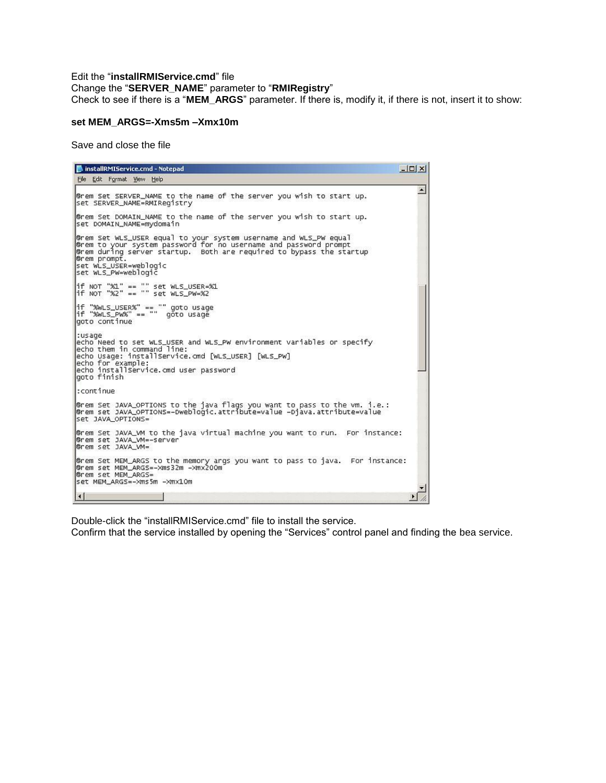#### Edit the "**installRMIService.cmd**" file Change the "**SERVER\_NAME**" parameter to "**RMIRegistry**" Check to see if there is a "**MEM\_ARGS**" parameter. If there is, modify it, if there is not, insert it to show:

#### **set MEM\_ARGS=-Xms5m –Xmx10m**

Save and close the file

```
InstallRMIService.cmd - Notepad
                                                                                                                                       ---x-File Edit Format View Help
                                                                                                                                               \blacktriangleGrem Set SERVER_NAME to the name of the server you wish to start up.
set SERVER_NAME=RMIRegistry
@rem Set DOMAIN_NAME to the name of the server you wish to start up.
set DOMAIN_NAME=mydomain
Grem Set WLS_USER equal to your system username and WLS_PW equal Grem to your system password for no username and password prompt Grem during server startup. Both are required to bypass the startup Grem prompt.
set WLS_USER=weblogic<br>set WLS_PW=weblogic
|<br>|if NOT "%1" == "" set WLS_USER=%1<br>|if NOT "%2" == "" set WLS_PW=%2
|<br>|if "%wLS_USER%" == "" goto usage<br>|if "%wLS_Pw%" == "" goto usage<br>|goto continue
:usage<br>echo Need to set WLS_USER and WLS_PW environment variables or specify<br>echo them in command line:<br>echo Usage: installservice.cmd [WLS_USER] [WLS_PW]<br>echo for example:<br>echo installservice.cmd user password<br>goto finish
 :continue
@rem Set JAVA_OPTIONS to the java flags you want to pass to the vm. i.e.:<br>@rem set JAVA_OPTIONS=-Dweblogic.attribute=value -Djava.attribute=value
Set JAVA OPTIONS=
@rem Set JAVA_VM to the java virtual machine you want to run. For instance:
Grem set JAVA_VM=-server<br>Grem set JAVA_VM=-server
@rem Set MEM_ARGS to the memory args you want to pass to java. For instance:<br>@rem set MEM_ARGS=-Xms32m -Xmx200m
Grem set MEM_ARGS=
set MEM_ARGS=-Xms5m -Xmx10m
 \left| \cdot \right|\blacktriangleright
```
Double-click the "installRMIService.cmd" file to install the service.

Confirm that the service installed by opening the "Services" control panel and finding the bea service.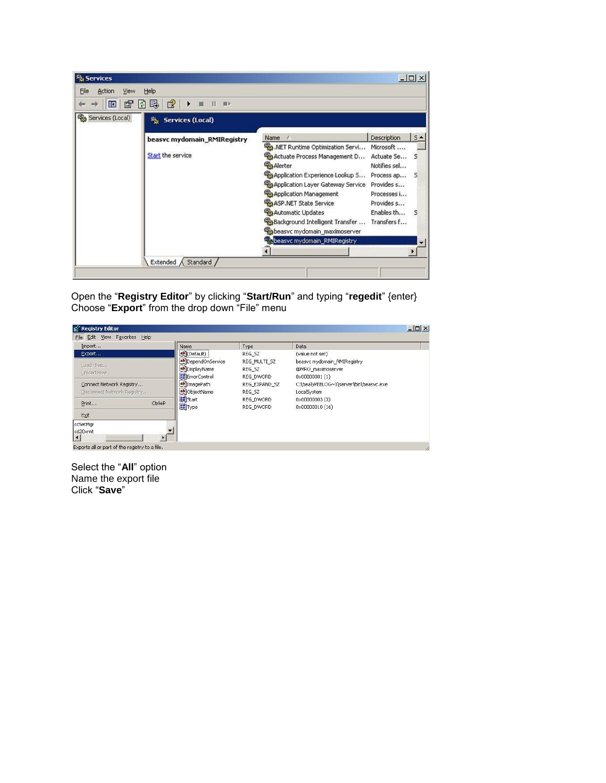| <sup>N</sup> <sub>3</sub> Services |                                             |                                                                                                                                                                                                                                                                                                                        |                                                                         | $ \Box$ $\times$              |
|------------------------------------|---------------------------------------------|------------------------------------------------------------------------------------------------------------------------------------------------------------------------------------------------------------------------------------------------------------------------------------------------------------------------|-------------------------------------------------------------------------|-------------------------------|
| Action<br>Eile<br>View             | Help                                        |                                                                                                                                                                                                                                                                                                                        |                                                                         |                               |
| 雷<br>町                             | ピ<br>喝<br>Ð<br>٠<br>$\mathbf{H}$<br>脚ト<br>扁 |                                                                                                                                                                                                                                                                                                                        |                                                                         |                               |
| Services (Local)                   | 龝<br><b>Services (Local)</b>                |                                                                                                                                                                                                                                                                                                                        |                                                                         |                               |
|                                    | beasyc mydomain_RMIRegistry                 | <b>Name</b><br>$\lambda$                                                                                                                                                                                                                                                                                               | Description                                                             | $5 -$                         |
|                                    | Start the service                           | MET Runtime Optimization Servi Microsoft<br>Actuate Process Management D<br><b>Sta Alerter</b><br>Application Experience Lookup S Process ap S<br>Application Layer Gateway Service Provides s<br>Application Management<br>ASP.NET State Service<br>Automatic Updates<br>Background Intelligent Transfer  Transfers f | Actuate Se<br>Notifies sel<br>Processes i<br>Provides s<br>Enables th 5 | - 5                           |
|                                    |                                             | Sabeasyc mydomain maximoserver<br>beasyc mydomain_RMIRegistry                                                                                                                                                                                                                                                          |                                                                         | $\overline{\phantom{0}}$<br>▶ |
|                                    | Extended $\land$ Standard /                 |                                                                                                                                                                                                                                                                                                                        |                                                                         |                               |

Open the "**Registry Editor**" by clicking "**Start/Run**" and typing "**regedit**" {enter} Choose "**Export**" from the drop down "File" menu



Select the "**All**" option Name the export file Click "**Save**"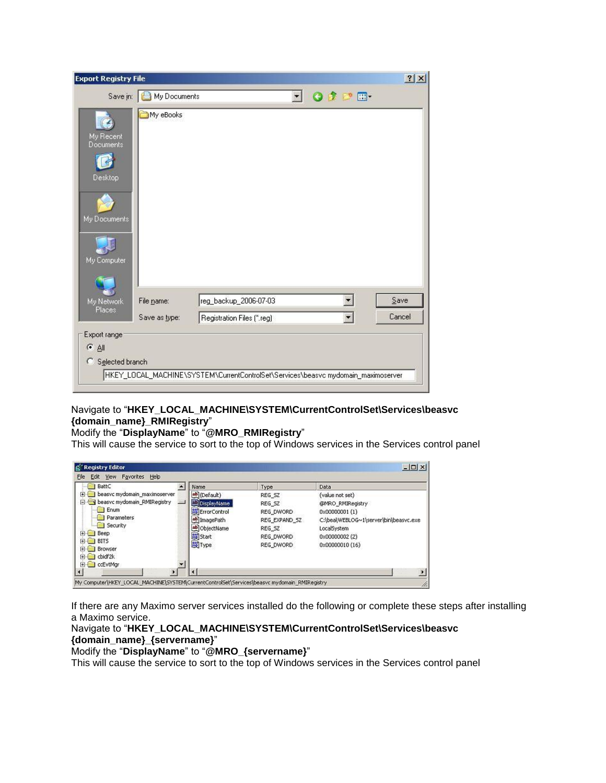| <b>Export Registry File</b> |               |                                                                                   |         |               | ? X    |
|-----------------------------|---------------|-----------------------------------------------------------------------------------|---------|---------------|--------|
| Save in:                    | My Documents  |                                                                                   | $\vert$ | $O 2$ $2$ $m$ |        |
| My Recent<br>Documents      | My eBooks     |                                                                                   |         |               |        |
| Desktop                     |               |                                                                                   |         |               |        |
| My Documents                |               |                                                                                   |         |               |        |
| My Computer                 |               |                                                                                   |         |               |        |
|                             |               |                                                                                   |         |               |        |
| My Network<br>Places        | File name:    | reg_backup_2006-07-03                                                             |         |               | Save   |
|                             | Save as type: | Registration Files (*.reg)                                                        |         | ▼             | Cancel |
| Export range                |               |                                                                                   |         |               |        |
| ○ 剑                         |               |                                                                                   |         |               |        |
| Selected branch<br>O        |               |                                                                                   |         |               |        |
|                             |               | HKEY_LOCAL_MACHINE\SYSTEM\CurrentControlSet\Services\beasvc mydomain_maximoserver |         |               |        |

## Navigate to "**HKEY\_LOCAL\_MACHINE\SYSTEM\CurrentControlSet\Services\beasvc {domain\_name}\_RMIRegistry**"

#### Modify the "**DisplayName**" to "**@MRO\_RMIRegistry**"

This will cause the service to sort to the top of Windows services in the Services control panel

| BattC                                                                                                                                                                               | Name                                                                                                                           | Type                                                                               | Data                                                                                                                                              |
|-------------------------------------------------------------------------------------------------------------------------------------------------------------------------------------|--------------------------------------------------------------------------------------------------------------------------------|------------------------------------------------------------------------------------|---------------------------------------------------------------------------------------------------------------------------------------------------|
| beasyc mydomain maximoserver<br>$\left  \bullet \right $<br>beasyc mydomain RMIRegistry<br>Ξ<br>Enum<br>Parameters<br>Security<br>H-l<br>Beep<br><b>BITS</b><br>F-<br>Browser<br>ΞH | ab (Default)<br>DisplayName<br><b>BU</b> Error Control<br>ab] ImagePath<br>ab] ObjectName<br><b>RE</b> Start<br><b>He</b> Type | REG SZ<br>REG SZ<br>REG DWORD<br>REG_EXPAND_SZ<br>REG SZ<br>REG DWORD<br>REG DWORD | (value not set)<br>@MRO RMIRegistry<br>0x00000001 (1)<br>C:\bea\WEBLOG~1\server\bin\beasvc.exe<br>LocalSystem<br>0x00000002 (2)<br>0x00000010(16) |
| didf2k<br>ΗH<br>EI-C cEvtMar                                                                                                                                                        |                                                                                                                                |                                                                                    |                                                                                                                                                   |

If there are any Maximo server services installed do the following or complete these steps after installing a Maximo service.

# Navigate to "**HKEY\_LOCAL\_MACHINE\SYSTEM\CurrentControlSet\Services\beasvc {domain\_name}\_{servername}**"

Modify the "**DisplayName**" to "**@MRO\_{servername}**"

This will cause the service to sort to the top of Windows services in the Services control panel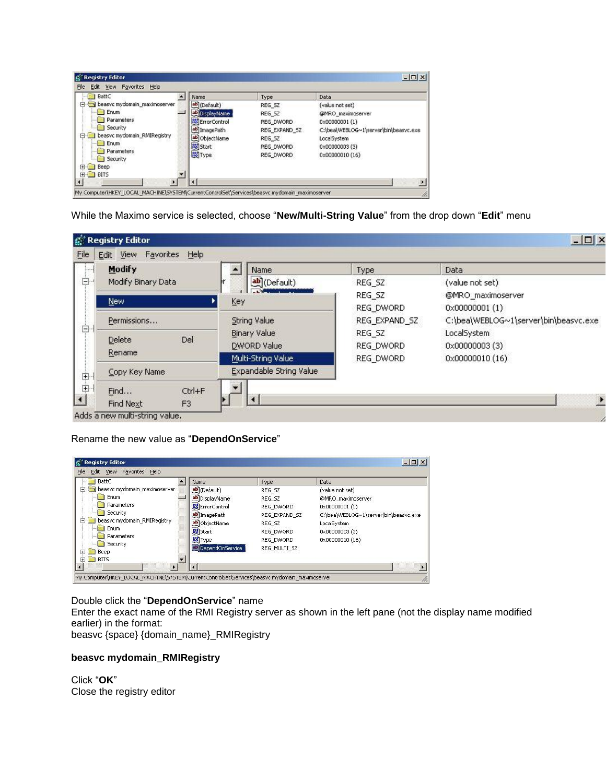| BattC                                          | Name                    | Type          | Data                                  |
|------------------------------------------------|-------------------------|---------------|---------------------------------------|
| beasyc mydomain maximoserver<br>$\overline{a}$ | ab (Default)            | REG SZ        | (value not set)                       |
| Enum                                           | DisplayName             | REG SZ        | @MRO_maximoserver                     |
| Parameters                                     | <b>BU</b> Error Control | REG_DWORD     | 0x00000001(1)                         |
| Security                                       | ab] ImagePath           | REG EXPAND SZ | C:\bea\WEBLOG~1\server\bin\beasvc.exe |
| beasyc mydomain_RMIRegistry<br>o-              | ab] ObjectName          | REG SZ        | LocalSystem                           |
| <b>Enum</b>                                    | <b>Rig</b> Start        | REG_DWORD     | 0x00000003 (3)                        |
| Parameters<br>Security<br><b>Beep</b><br>田十    | <b>He</b> Type          | REG DWORD     | 0x00000010(16)                        |
| 田 BITS                                         |                         |               |                                       |

While the Maximo service is selected, choose "**New/Multi-String Value**" from the drop down "**Edit**" menu

| pino. | <b>Modify</b>               |        | Name                    | Type          | Data                                  |
|-------|-----------------------------|--------|-------------------------|---------------|---------------------------------------|
| ė-    | Modify Binary Data          |        | ab](Default)            | REG_SZ        | (value not set)                       |
|       | New:                        |        | Key                     | REG_SZ        | @MRO_maximoserver                     |
|       |                             |        |                         | REG_DWORD     | $0 \times 00000001(1)$                |
|       | Permissions                 |        | String Value            | REG_EXPAND_SZ | C:\bea\WEBLOG~1\server\bin\beasvc.exe |
| ġ.    | Del<br>Delete               |        | <b>Binary Value</b>     | REG SZ        | LocalSystem                           |
|       | Rename                      |        | <b>DWORD Value</b>      | REG_DWORD     | 0x00000003(3)                         |
|       |                             |        | Multi-String Value      | REG DWORD     | 0x00000010 (16)                       |
|       | Copy Key Name               |        | Expandable String Value |               |                                       |
|       | Find                        | Ctrl+F |                         |               |                                       |
|       | F <sub>3</sub><br>Find Next |        |                         |               |                                       |

Rename the new value as "**DependOnService**"

| BattC                             | Name                   | Type          | Data                                  |
|-----------------------------------|------------------------|---------------|---------------------------------------|
| beasvc mydomain_maximoserver<br>F | ab](Default)           | REG_SZ        | (value not set)                       |
| Enum                              | bisplayName            | REG SZ        | @MRO maximoserver                     |
| Parameters                        | <b>RU</b> ErrorControl | REG DWORD     | 0x00000001(1)                         |
| Security                          | ab]ImagePath           | REG EXPAND SZ | C:\bea\WEBLOG~1\server\bin\beasvc.exe |
| beasyc mydomain RMIRegistry<br>F- | ab ObjectName          | REG SZ        | LocalSystem                           |
| Enum                              | an Start               | REG DWORD     | 0x00000003 (3)                        |
| Parameters                        | <b><u>no</u></b> Type  | REG DWORD     | 0x00000010 (16)                       |
| Security<br>F.<br>Beep            | DependOnService        | REG MULTI SZ  |                                       |
| <b>BITS</b><br>Ŧ                  |                        |               |                                       |

## Double click the "**DependOnService**" name

Enter the exact name of the RMI Registry server as shown in the left pane (not the display name modified earlier) in the format:

beasvc {space} {domain\_name}\_RMIRegistry

## **beasvc mydomain\_RMIRegistry**

Click "**OK**" Close the registry editor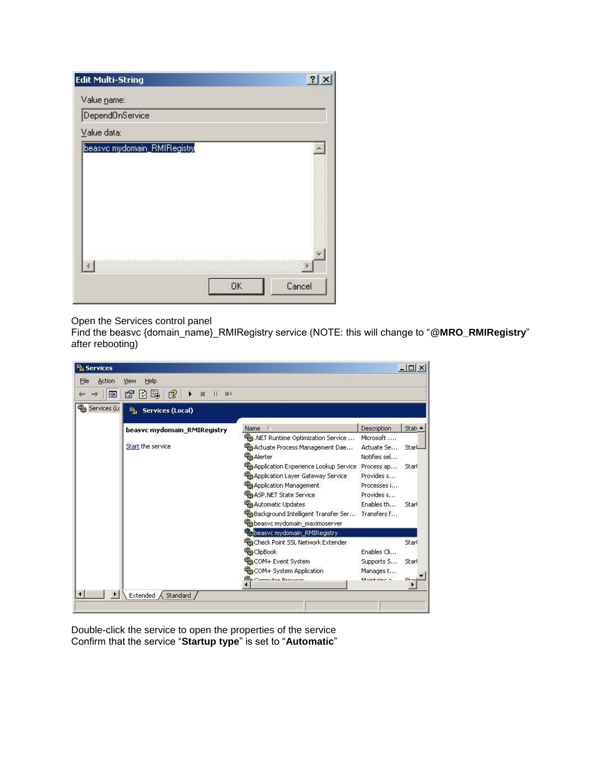| <b>Edit Multi-String</b>    |    | 2x     |
|-----------------------------|----|--------|
| Value name:                 |    |        |
| DependOnService             |    |        |
| Value data:                 |    |        |
| beasvc mydomain_RMIRegistry | OK | Cancel |

# Open the Services control panel

Find the beasvc {domain\_name}\_RMIRegistry service (NOTE: this will change to "**@MRO\_RMIRegistry**" after rebooting)

| Action<br>File | Help<br>View                  |                                                 |                    |         |
|----------------|-------------------------------|-------------------------------------------------|--------------------|---------|
| ED             | 晹<br>ピ<br>ft<br>M<br>П<br>图》  |                                                 |                    |         |
| Services (Lo   | 鷑。<br><b>Services (Local)</b> |                                                 |                    |         |
|                | beasyc mydomain_RMIRegistry   | Name<br>£.                                      | <b>Description</b> | Stati · |
|                |                               | MET Runtime Optimization Service                | Microsoft          |         |
|                | Start the service             | Actuate Process Management Dae…                 | Actuate Se         | StarL   |
|                |                               | <b>Readerter</b>                                | Notifies sel       |         |
|                |                               | Application Experience Lookup Service           | Process ap         | Starl   |
|                |                               | Application Layer Gateway Service               | Provides s         |         |
|                |                               | Application Management                          | Processes i        |         |
|                |                               | ASP.NET State Service                           | Provides s         |         |
|                |                               | Automatic Updates                               | Enables th         | Starl   |
|                |                               | Background Intelligent Transfer Ser Transfers f |                    |         |
|                |                               | beasvc mydomain_maximoserver                    |                    |         |
|                |                               | beasyc mydomain_RMIRegistry                     |                    |         |
|                |                               | Check Point SSL Network Extender                |                    | Starl   |
|                |                               | <b>B</b> ClipBook                               | Enables Cli        |         |
|                |                               | COM+ Event System                               | Supports S         | Starl   |
|                |                               | COM+ System Application                         | Manages t          |         |
|                |                               | <b>Bra Committee Decurrent</b>                  | Mainhaine a        |         |

Double-click the service to open the properties of the service Confirm that the service "**Startup type**" is set to "**Automatic**"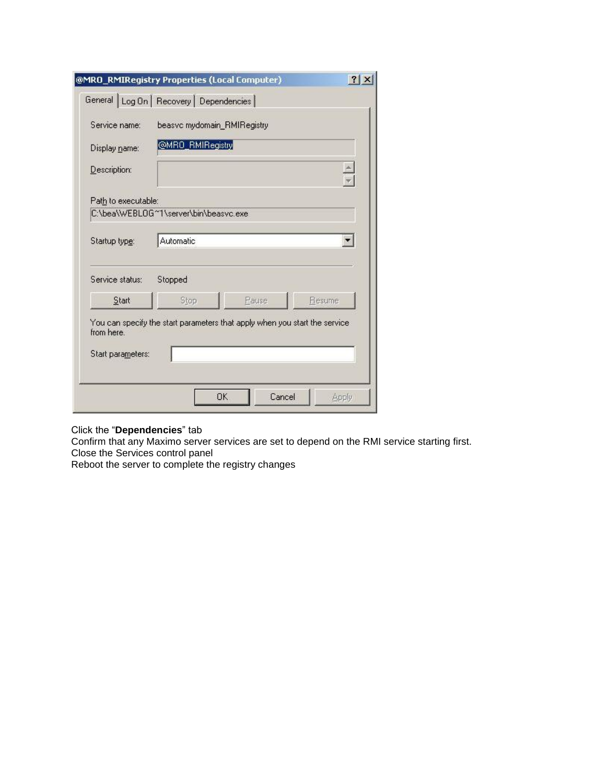| Service name:       | beasvc mydomain_RMIRegistry                                                 |       |                      |
|---------------------|-----------------------------------------------------------------------------|-------|----------------------|
| Display name:       | @MRO_RMIRegistry                                                            |       |                      |
| Description:        |                                                                             |       | $\frac{1}{\sqrt{2}}$ |
| Path to executable: |                                                                             |       |                      |
|                     | C:\bea\WEBLOG~1\server\bin\beasvc.exe                                       |       |                      |
| Startup type:       | Automatic                                                                   |       |                      |
| Service status:     | Stopped                                                                     |       |                      |
| Start               | Stop                                                                        | Pause | Resume               |
| from here.          | You can specify the start parameters that apply when you start the service. |       |                      |
|                     |                                                                             |       |                      |

#### Click the "**Dependencies**" tab

Confirm that any Maximo server services are set to depend on the RMI service starting first. Close the Services control panel

Reboot the server to complete the registry changes